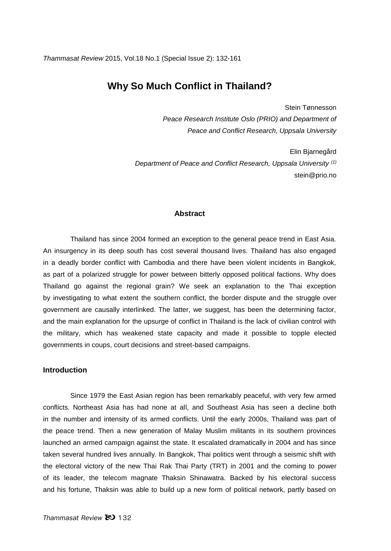# **Why So Much Conflict in Thailand?**

Stein Tønnesson *Peace Research Institute Oslo (PRIO) and Department of Peace and Conflict Research, Uppsala University*

Elin Bjarnegård *Department of Peace and Conflict Research, Uppsala University (1)* stein@prio.no

## **Abstract**

Thailand has since 2004 formed an exception to the general peace trend in East Asia. An insurgency in its deep south has cost several thousand lives. Thailand has also engaged in a deadly border conflict with Cambodia and there have been violent incidents in Bangkok, as part of a polarized struggle for power between bitterly opposed political factions. Why does Thailand go against the regional grain? We seek an explanation to the Thai exception by investigating to what extent the southern conflict, the border dispute and the struggle over government are causally interlinked. The latter, we suggest, has been the determining factor, and the main explanation for the upsurge of conflict in Thailand is the lack of civilian control with the military, which has weakened state capacity and made it possible to topple elected governments in coups, court decisions and street-based campaigns.

#### **Introduction**

Since 1979 the East Asian region has been remarkably peaceful, with very few armed conflicts. Northeast Asia has had none at all, and Southeast Asia has seen a decline both in the number and intensity of its armed conflicts. Until the early 2000s, Thailand was part of the peace trend. Then a new generation of Malay Muslim militants in its southern provinces launched an armed campaign against the state. It escalated dramatically in 2004 and has since taken several hundred lives annually. In Bangkok, Thai politics went through a seismic shift with the electoral victory of the new Thai Rak Thai Party (TRT) in 2001 and the coming to power of its leader, the telecom magnate Thaksin Shinawatra. Backed by his electoral success and his fortune, Thaksin was able to build up a new form of political network, partly based on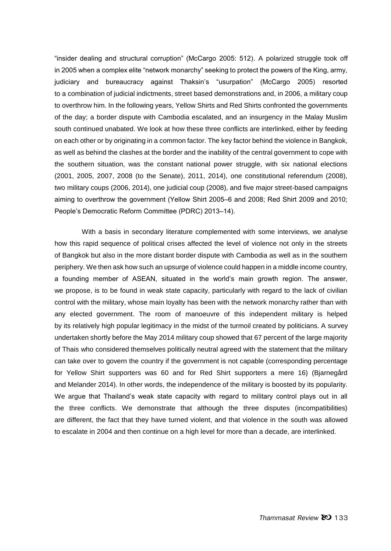"insider dealing and structural corruption" (McCargo 2005: 512). A polarized struggle took off in 2005 when a complex elite "network monarchy" seeking to protect the powers of the King, army, judiciary and bureaucracy against Thaksin's "usurpation" (McCargo 2005) resorted to a combination of judicial indictments, street based demonstrations and, in 2006, a military coup to overthrow him. In the following years, Yellow Shirts and Red Shirts confronted the governments of the day; a border dispute with Cambodia escalated, and an insurgency in the Malay Muslim south continued unabated. We look at how these three conflicts are interlinked, either by feeding on each other or by originating in a common factor. The key factor behind the violence in Bangkok, as well as behind the clashes at the border and the inability of the central government to cope with the southern situation, was the constant national power struggle, with six national elections (2001, 2005, 2007, 2008 (to the Senate), 2011, 2014), one constitutional referendum (2008), two military coups (2006, 2014), one judicial coup (2008), and five major street-based campaigns aiming to overthrow the government (Yellow Shirt 2005-6 and 2008; Red Shirt 2009 and 2010; People's Democratic Reform Committee (PDRC) 2013-14).

With a basis in secondary literature complemented with some interviews, we analyse how this rapid sequence of political crises affected the level of violence not only in the streets of Bangkok but also in the more distant border dispute with Cambodia as well as in the southern periphery. We then ask how such an upsurge of violence could happen in a middle income country, a founding member of ASEAN, situated in the world's main growth region. The answer, we propose, is to be found in weak state capacity, particularly with regard to the lack of civilian control with the military, whose main loyalty has been with the network monarchy rather than with any elected government. The room of manoeuvre of this independent military is helped by its relatively high popular legitimacy in the midst of the turmoil created by politicians. A survey undertaken shortly before the May 2014 military coup showed that 67 percent of the large majority of Thais who considered themselves politically neutral agreed with the statement that the military can take over to govern the country if the government is not capable (corresponding percentage for Yellow Shirt supporters was 60 and for Red Shirt supporters a mere 16) (Bjarnegård and Melander 2014). In other words, the independence of the military is boosted by its popularity. We argue that Thailand's weak state capacity with regard to military control plays out in all the three conflicts. We demonstrate that although the three disputes (incompatibilities) are different, the fact that they have turned violent, and that violence in the south was allowed to escalate in 2004 and then continue on a high level for more than a decade, are interlinked.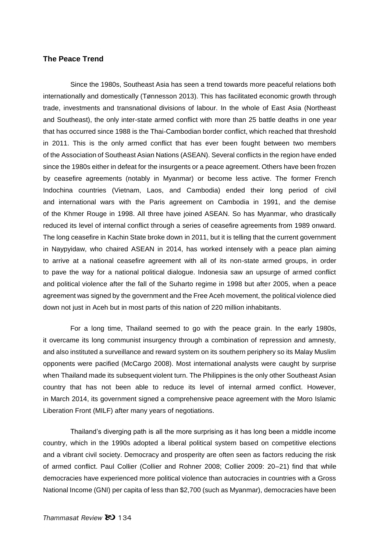#### **The Peace Trend**

Since the 1980s, Southeast Asia has seen a trend towards more peaceful relations both internationally and domestically (Tønnesson 2013). This has facilitated economic growth through trade, investments and transnational divisions of labour. In the whole of East Asia (Northeast and Southeast), the only inter-state armed conflict with more than 25 battle deaths in one year that has occurred since 1988 is the Thai-Cambodian border conflict, which reached that threshold in 2011. This is the only armed conflict that has ever been fought between two members of the Association of Southeast Asian Nations (ASEAN). Several conflicts in the region have ended since the 1980s either in defeat for the insurgents or a peace agreement. Others have been frozen by ceasefire agreements (notably in Myanmar) or become less active. The former French Indochina countries (Vietnam, Laos, and Cambodia) ended their long period of civil and international wars with the Paris agreement on Cambodia in 1991, and the demise of the Khmer Rouge in 1998. All three have joined ASEAN. So has Myanmar, who drastically reduced its level of internal conflict through a series of ceasefire agreements from 1989 onward. The long ceasefire in Kachin State broke down in 2011, but it is telling that the current government in Naypyidaw, who chaired ASEAN in 2014, has worked intensely with a peace plan aiming to arrive at a national ceasefire agreement with all of its non-state armed groups, in order to pave the way for a national political dialogue. Indonesia saw an upsurge of armed conflict and political violence after the fall of the Suharto regime in 1998 but after 2005, when a peace agreement was signed by the government and the Free Aceh movement, the political violence died down not just in Aceh but in most parts of this nation of 220 million inhabitants.

For a long time, Thailand seemed to go with the peace grain. In the early 1980s, it overcame its long communist insurgency through a combination of repression and amnesty, and also instituted a surveillance and reward system on its southern periphery so its Malay Muslim opponents were pacified (McCargo 2008). Most international analysts were caught by surprise when Thailand made its subsequent violent turn. The Philippines is the only other Southeast Asian country that has not been able to reduce its level of internal armed conflict. However, in March 2014, its government signed a comprehensive peace agreement with the Moro Islamic Liberation Front (MILF) after many years of negotiations.

Thailand's diverging path is all the more surprising as it has long been a middle income country, which in the 1990s adopted a liberal political system based on competitive elections and a vibrant civil society. Democracy and prosperity are often seen as factors reducing the risk of armed conflict. Paul Collier (Collier and Rohner 2008; Collier 2009: 20–21) find that while democracies have experienced more political violence than autocracies in countries with a Gross National Income (GNI) per capita of less than \$2,700 (such as Myanmar), democracies have been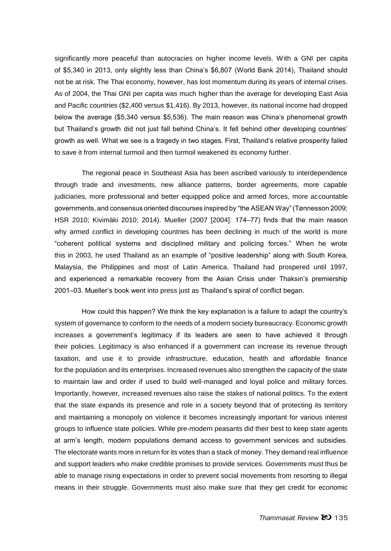significantly more peaceful than autocracies on higher income levels. With a GNI per capita of \$5,340 in 2013, only slightly less than China's \$6,807 (World Bank 2014), Thailand should not be at risk. The Thai economy, however, has lost momentum during its years of internal crises. As of 2004, the Thai GNI per capita was much higher than the average for developing East Asia and Pacific countries (\$2,400 versus \$1,416). By 2013, however, its national income had dropped below the average (\$5,340 versus \$5,536). The main reason was China's phenomenal growth but Thailand's growth did not just fall behind China's. It fell behind other developing countries' growth as well. What we see is a tragedy in two stages. First, Thailand's relative prosperity failed to save it from internal turmoil and then turmoil weakened its economy further.

The regional peace in Southeast Asia has been ascribed variously to interdependence through trade and investments, new alliance patterns, border agreements, more capable judiciaries, more professional and better equipped police and armed forces, more accountable governments, and consensus oriented discourses inspired by "the ASEAN Way" (Tønnesson 2009; HSR 2010; Kivimäki 2010; 2014). Mueller (2007 [2004]: 174-77) finds that the main reason why armed conflict in developing countries has been declining in much of the world is more "coherent political systems and disciplined military and policing forces." When he wrote this in 2003, he used Thailand as an example of "positive leadership" along with South Korea, Malaysia, the Philippines and most of Latin America. Thailand had prospered until 1997, and experienced a remarkable recovery from the Asian Crisis under Thaksin's premiership 2001‒03. Mueller's book went into press just as Thailand's spiral of conflict began.

How could this happen? We think the key explanation is a failure to adapt the country's system of governance to conform to the needs of a modern society bureaucracy. Economic growth increases a government's legitimacy if its leaders are seen to have achieved it through their policies. Legitimacy is also enhanced if a government can increase its revenue through taxation, and use it to provide infrastructure, education, health and affordable finance for the population and its enterprises. Increased revenues also strengthen the capacity of the state to maintain law and order if used to build well-managed and loyal police and military forces. Importantly, however, increased revenues also raise the stakes of national politics. To the extent that the state expands its presence and role in a society beyond that of protecting its territory and maintaining a monopoly on violence it becomes increasingly important for various interest groups to influence state policies. While pre-modern peasants did their best to keep state agents at arm's length, modern populations demand access to government services and subsidies. The electorate wants more in return for its votes than a stack of money. They demand real influence and support leaders who make credible promises to provide services. Governments must thus be able to manage rising expectations in order to prevent social movements from resorting to illegal means in their struggle. Governments must also make sure that they get credit for economic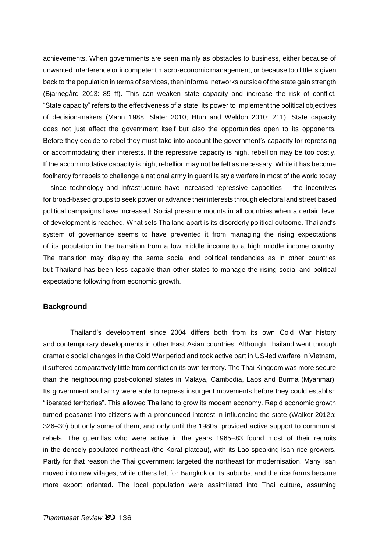achievements. When governments are seen mainly as obstacles to business, either because of unwanted interference or incompetent macro-economic management, or because too little is given back to the population in terms of services, then informal networks outside of the state gain strength (Bjarnegård 2013: 89 ff). This can weaken state capacity and increase the risk of conflict. "State capacity" refers to the effectiveness of a state; its power to implement the political objectives of decision-makers (Mann 1988; Slater 2010; Htun and Weldon 2010: 211). State capacity does not just affect the government itself but also the opportunities open to its opponents. Before they decide to rebel they must take into account the government's capacity for repressing or accommodating their interests. If the repressive capacity is high, rebellion may be too costly. If the accommodative capacity is high, rebellion may not be felt as necessary. While it has become foolhardy for rebels to challenge a national army in guerrilla style warfare in most of the world today – since technology and infrastructure have increased repressive capacities – the incentives for broad-based groups to seek power or advance their interests through electoral and street based political campaigns have increased. Social pressure mounts in all countries when a certain level of development is reached. What sets Thailand apart is its disorderly political outcome. Thailand's system of governance seems to have prevented it from managing the rising expectations of its population in the transition from a low middle income to a high middle income country. The transition may display the same social and political tendencies as in other countries but Thailand has been less capable than other states to manage the rising social and political expectations following from economic growth.

# **Background**

Thailand's development since 2004 differs both from its own Cold War history and contemporary developments in other East Asian countries. Although Thailand went through dramatic social changes in the Cold War period and took active part in US-led warfare in Vietnam, it suffered comparatively little from conflict on its own territory. The Thai Kingdom was more secure than the neighbouring post-colonial states in Malaya, Cambodia, Laos and Burma (Myanmar). Its government and army were able to repress insurgent movements before they could establish "liberated territories". This allowed Thailand to grow its modern economy. Rapid economic growth turned peasants into citizens with a pronounced interest in influencing the state (Walker 2012b: 326–30) but only some of them, and only until the 1980s, provided active support to communist rebels. The guerrillas who were active in the years 1965–83 found most of their recruits in the densely populated northeast (the Korat plateau), with its Lao speaking Isan rice growers. Partly for that reason the Thai government targeted the northeast for modernisation. Many Isan moved into new villages, while others left for Bangkok or its suburbs, and the rice farms became more export oriented. The local population were assimilated into Thai culture, assuming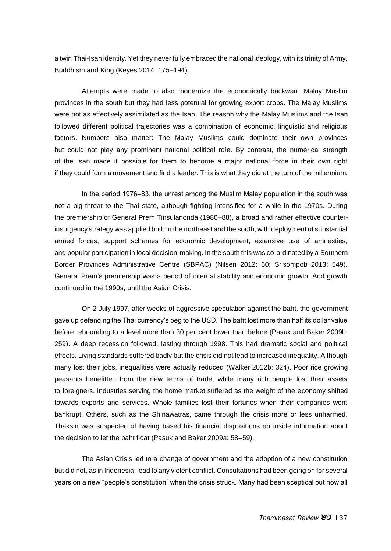a twin Thai-Isan identity. Yet they never fully embraced the national ideology, with its trinity of Army, Buddhism and King (Keyes 2014: 175-194).

Attempts were made to also modernize the economically backward Malay Muslim provinces in the south but they had less potential for growing export crops. The Malay Muslims were not as effectively assimilated as the Isan. The reason why the Malay Muslims and the Isan followed different political trajectories was a combination of economic, linguistic and religious factors. Numbers also matter: The Malay Muslims could dominate their own provinces but could not play any prominent national political role. By contrast, the numerical strength of the Isan made it possible for them to become a major national force in their own right if they could form a movement and find a leader. This is what they did at the turn of the millennium.

In the period 1976–83, the unrest among the Muslim Malay population in the south was not a big threat to the Thai state, although fighting intensified for a while in the 1970s. During the premiership of General Prem Tinsulanonda (1980–88), a broad and rather effective counterinsurgency strategy was applied both in the northeast and the south, with deployment of substantial armed forces, support schemes for economic development, extensive use of amnesties, and popular participation in local decision-making. In the south this was co-ordinated by a Southern Border Provinces Administrative Centre (SBPAC) (Nilsen 2012: 60; Srisompob 2013: 549). General Prem's premiership was a period of internal stability and economic growth. And growth continued in the 1990s, until the Asian Crisis.

On 2 July 1997, after weeks of aggressive speculation against the baht, the government gave up defending the Thai currency's peg to the USD. The baht lost more than half its dollar value before rebounding to a level more than 30 per cent lower than before (Pasuk and Baker 2009b: 259). A deep recession followed, lasting through 1998. This had dramatic social and political effects. Living standards suffered badly but the crisis did not lead to increased inequality. Although many lost their jobs, inequalities were actually reduced (Walker 2012b: 324). Poor rice growing peasants benefitted from the new terms of trade, while many rich people lost their assets to foreigners. Industries serving the home market suffered as the weight of the economy shifted towards exports and services. Whole families lost their fortunes when their companies went bankrupt. Others, such as the Shinawatras, came through the crisis more or less unharmed. Thaksin was suspected of having based his financial dispositions on inside information about the decision to let the baht float (Pasuk and Baker 2009a: 58–59).

The Asian Crisis led to a change of government and the adoption of a new constitution but did not, as in Indonesia, lead to any violent conflict. Consultations had been going on for several years on a new "people's constitution" when the crisis struck. Many had been sceptical but now all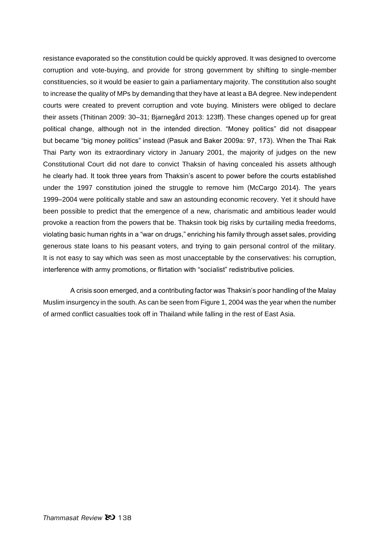resistance evaporated so the constitution could be quickly approved. It was designed to overcome corruption and vote-buying, and provide for strong government by shifting to single-member constituencies, so it would be easier to gain a parliamentary majority. The constitution also sought to increase the quality of MPs by demanding that they have at least a BA degree. New independent courts were created to prevent corruption and vote buying. Ministers were obliged to declare their assets (Thitinan 2009: 30–31; Bjarnegård 2013: 123ff). These changes opened up for great political change, although not in the intended direction. "Money politics" did not disappear but became "big money politics" instead (Pasuk and Baker 2009a: 97, 173). When the Thai Rak Thai Party won its extraordinary victory in January 2001, the majority of judges on the new Constitutional Court did not dare to convict Thaksin of having concealed his assets although he clearly had. It took three years from Thaksin's ascent to power before the courts established under the 1997 constitution joined the struggle to remove him (McCargo 2014). The years 1999–2004 were politically stable and saw an astounding economic recovery. Yet it should have been possible to predict that the emergence of a new, charismatic and ambitious leader would provoke a reaction from the powers that be. Thaksin took big risks by curtailing media freedoms, violating basic human rights in a "war on drugs," enriching his family through asset sales, providing generous state loans to his peasant voters, and trying to gain personal control of the military. It is not easy to say which was seen as most unacceptable by the conservatives: his corruption, interference with army promotions, or flirtation with "socialist" redistributive policies.

A crisis soon emerged, and a contributing factor was Thaksin's poor handling of the Malay Muslim insurgency in the south. As can be seen from Figure 1, 2004 was the year when the number of armed conflict casualties took off in Thailand while falling in the rest of East Asia.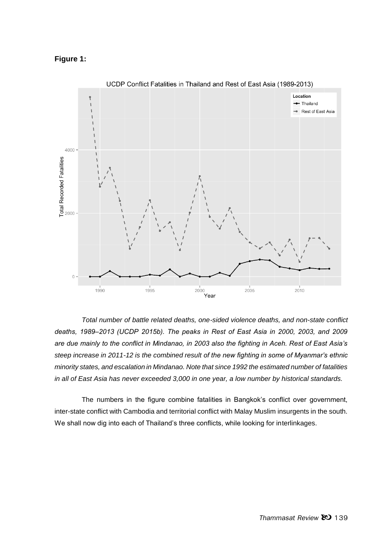## **Figure 1:**



UCDP Conflict Fatalities in Thailand and Rest of East Asia (1989-2013)

*Total number of battle related deaths, one-sided violence deaths, and non-state conflict deaths, 1989‒2013 (UCDP 2015b). The peaks in Rest of East Asia in 2000, 2003, and 2009 are due mainly to the conflict in Mindanao, in 2003 also the fighting in Aceh. Rest of East Asia's steep increase in 2011-12 is the combined result of the new fighting in some of Myanmar's ethnic minority states, and escalation in Mindanao. Note that since 1992 the estimated number of fatalities in all of East Asia has never exceeded 3,000 in one year, a low number by historical standards.*

The numbers in the figure combine fatalities in Bangkok's conflict over government, inter-state conflict with Cambodia and territorial conflict with Malay Muslim insurgents in the south. We shall now dig into each of Thailand's three conflicts, while looking for interlinkages.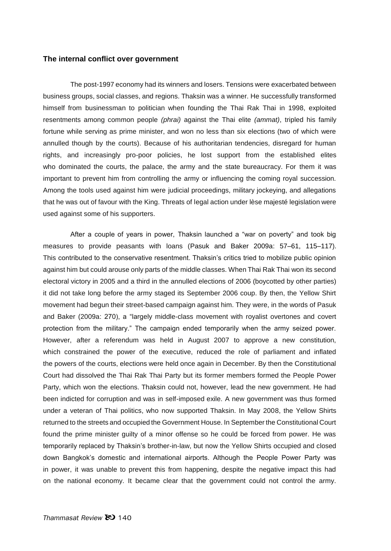#### **The internal conflict over government**

The post-1997 economy had its winners and losers. Tensions were exacerbated between business groups, social classes, and regions. Thaksin was a winner. He successfully transformed himself from businessman to politician when founding the Thai Rak Thai in 1998, exploited resentments among common people *(phrai)* against the Thai elite *(ammat)*, tripled his family fortune while serving as prime minister, and won no less than six elections (two of which were annulled though by the courts). Because of his authoritarian tendencies, disregard for human rights, and increasingly pro-poor policies, he lost support from the established elites who dominated the courts, the palace, the army and the state bureaucracy. For them it was important to prevent him from controlling the army or influencing the coming royal succession. Among the tools used against him were judicial proceedings, military jockeying, and allegations that he was out of favour with the King. Threats of legal action under lèse majesté legislation were used against some of his supporters.

After a couple of years in power, Thaksin launched a "war on poverty" and took big measures to provide peasants with loans (Pasuk and Baker 2009a: 57–61, 115–117). This contributed to the conservative resentment. Thaksin's critics tried to mobilize public opinion against him but could arouse only parts of the middle classes. When Thai Rak Thai won its second electoral victory in 2005 and a third in the annulled elections of 2006 (boycotted by other parties) it did not take long before the army staged its September 2006 coup. By then, the Yellow Shirt movement had begun their street-based campaign against him. They were, in the words of Pasuk and Baker (2009a: 270), a "largely middle-class movement with royalist overtones and covert protection from the military." The campaign ended temporarily when the army seized power. However, after a referendum was held in August 2007 to approve a new constitution, which constrained the power of the executive, reduced the role of parliament and inflated the powers of the courts, elections were held once again in December. By then the Constitutional Court had dissolved the Thai Rak Thai Party but its former members formed the People Power Party, which won the elections. Thaksin could not, however, lead the new government. He had been indicted for corruption and was in self-imposed exile. A new government was thus formed under a veteran of Thai politics, who now supported Thaksin. In May 2008, the Yellow Shirts returned to the streets and occupied the Government House. In September the Constitutional Court found the prime minister guilty of a minor offense so he could be forced from power. He was temporarily replaced by Thaksin's brother-in-law, but now the Yellow Shirts occupied and closed down Bangkok's domestic and international airports. Although the People Power Party was in power, it was unable to prevent this from happening, despite the negative impact this had on the national economy. It became clear that the government could not control the army.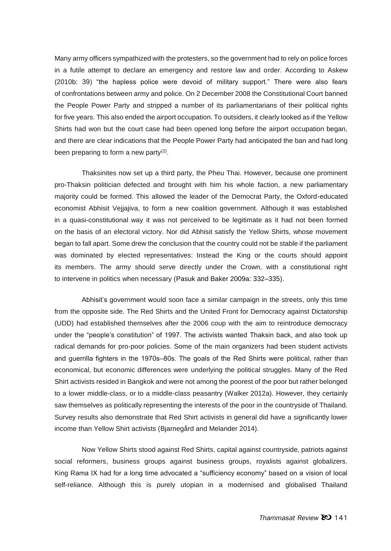Many army officers sympathized with the protesters, so the government had to rely on police forces in a futile attempt to declare an emergency and restore law and order. According to Askew (2010b: 39) "the hapless police were devoid of military support." There were also fears of confrontations between army and police. On 2 December 2008 the Constitutional Court banned the People Power Party and stripped a number of its parliamentarians of their political rights for five years. This also ended the airport occupation. To outsiders, it clearly looked as if the Yellow Shirts had won but the court case had been opened long before the airport occupation began, and there are clear indications that the People Power Party had anticipated the ban and had long been preparing to form a new party $(2)$ .

Thaksinites now set up a third party, the Pheu Thai. However, because one prominent pro-Thaksin politician defected and brought with him his whole faction, a new parliamentary majority could be formed. This allowed the leader of the Democrat Party, the Oxford-educated economist Abhisit Vejjajiva, to form a new coalition government. Although it was established in a quasi-constitutional way it was not perceived to be legitimate as it had not been formed on the basis of an electoral victory. Nor did Abhisit satisfy the Yellow Shirts, whose movement began to fall apart. Some drew the conclusion that the country could not be stable if the parliament was dominated by elected representatives: Instead the King or the courts should appoint its members. The army should serve directly under the Crown, with a constitutional right to intervene in politics when necessary (Pasuk and Baker 2009a: 332–335).

Abhisit's government would soon face a similar campaign in the streets, only this time from the opposite side. The Red Shirts and the United Front for Democracy against Dictatorship (UDD) had established themselves after the 2006 coup with the aim to reintroduce democracy under the "people's constitution" of 1997. The activists wanted Thaksin back, and also took up radical demands for pro-poor policies. Some of the main organizers had been student activists and querrilla fighters in the 1970s–80s. The goals of the Red Shirts were political, rather than economical, but economic differences were underlying the political struggles. Many of the Red Shirt activists resided in Bangkok and were not among the poorest of the poor but rather belonged to a lower middle-class, or to a middle-class peasantry (Walker 2012a). However, they certainly saw themselves as politically representing the interests of the poor in the countryside of Thailand. Survey results also demonstrate that Red Shirt activists in general did have a significantly lower income than Yellow Shirt activists (Bjarnegård and Melander 2014).

Now Yellow Shirts stood against Red Shirts, capital against countryside, patriots against social reformers, business groups against business groups, royalists against globalizers. King Rama IX had for a long time advocated a "sufficiency economy" based on a vision of local self-reliance. Although this is purely utopian in a modernised and globalised Thailand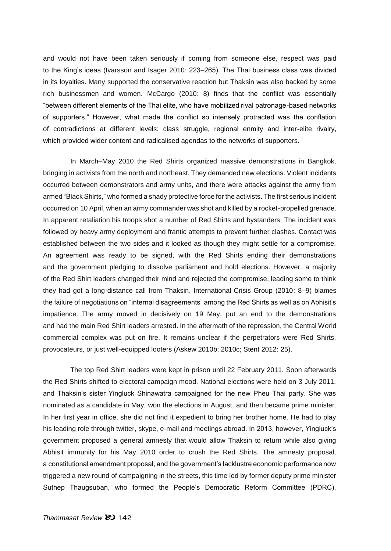and would not have been taken seriously if coming from someone else, respect was paid to the King's ideas (Ivarsson and Isager 2010: 223–265). The Thai business class was divided in its loyalties. Many supported the conservative reaction but Thaksin was also backed by some rich businessmen and women. McCargo (2010: 8) finds that the conflict was essentially "between different elements of the Thai elite, who have mobilized rival patronage-based networks of supporters." However, what made the conflict so intensely protracted was the conflation of contradictions at different levels: class struggle, regional enmity and inter-elite rivalry, which provided wider content and radicalised agendas to the networks of supporters.

In March–May 2010 the Red Shirts organized massive demonstrations in Bangkok, bringing in activists from the north and northeast. They demanded new elections. Violent incidents occurred between demonstrators and army units, and there were attacks against the army from armed "Black Shirts," who formed a shady protective force for the activists. The first serious incident occurred on 10 April, when an army commander was shot and killed by a rocket-propelled grenade. In apparent retaliation his troops shot a number of Red Shirts and bystanders. The incident was followed by heavy army deployment and frantic attempts to prevent further clashes. Contact was established between the two sides and it looked as though they might settle for a compromise. An agreement was ready to be signed, with the Red Shirts ending their demonstrations and the government pledging to dissolve parliament and hold elections. However, a majority of the Red Shirt leaders changed their mind and rejected the compromise, leading some to think they had got a long-distance call from Thaksin. International Crisis Group (2010: 8–9) blames the failure of negotiations on "internal disagreements" among the Red Shirts as well as on Abhisit's impatience. The army moved in decisively on 19 May, put an end to the demonstrations and had the main Red Shirt leaders arrested. In the aftermath of the repression, the Central World commercial complex was put on fire. It remains unclear if the perpetrators were Red Shirts, provocateurs, or just well-equipped looters (Askew 2010b; 2010c; Stent 2012: 25).

The top Red Shirt leaders were kept in prison until 22 February 2011. Soon afterwards the Red Shirts shifted to electoral campaign mood. National elections were held on 3 July 2011, and Thaksin's sister Yingluck Shinawatra campaigned for the new Pheu Thai party. She was nominated as a candidate in May, won the elections in August, and then became prime minister. In her first year in office, she did not find it expedient to bring her brother home. He had to play his leading role through twitter, skype, e-mail and meetings abroad. In 2013, however, Yingluck's government proposed a general amnesty that would allow Thaksin to return while also giving Abhisit immunity for his May 2010 order to crush the Red Shirts. The amnesty proposal, a constitutional amendment proposal, and the government's lacklustre economic performance now triggered a new round of campaigning in the streets, this time led by former deputy prime minister Suthep Thaugsuban, who formed the People's Democratic Reform Committee (PDRC).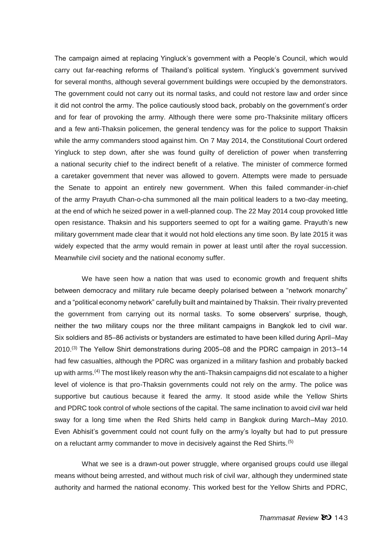The campaign aimed at replacing Yingluck's government with a People's Council, which would carry out far-reaching reforms of Thailand's political system. Yingluck's government survived for several months, although several government buildings were occupied by the demonstrators. The government could not carry out its normal tasks, and could not restore law and order since it did not control the army. The police cautiously stood back, probably on the government's order and for fear of provoking the army. Although there were some pro-Thaksinite military officers and a few anti-Thaksin policemen, the general tendency was for the police to support Thaksin while the army commanders stood against him. On 7 May 2014, the Constitutional Court ordered Yingluck to step down, after she was found guilty of dereliction of power when transferring a national security chief to the indirect benefit of a relative. The minister of commerce formed a caretaker government that never was allowed to govern. Attempts were made to persuade the Senate to appoint an entirely new government. When this failed commander-in-chief of the army Prayuth Chan-o-cha summoned all the main political leaders to a two-day meeting, at the end of which he seized power in a well-planned coup. The 22 May 2014 coup provoked little open resistance. Thaksin and his supporters seemed to opt for a waiting game. Prayuth's new military government made clear that it would not hold elections any time soon. By late 2015 it was widely expected that the army would remain in power at least until after the royal succession. Meanwhile civil society and the national economy suffer.

We have seen how a nation that was used to economic growth and frequent shifts between democracy and military rule became deeply polarised between a "network monarchy" and a "political economy network" carefully built and maintained by Thaksin. Their rivalry prevented the government from carrying out its normal tasks. To some observers' surprise, though, neither the two military coups nor the three militant campaigns in Bangkok led to civil war. Six soldiers and 85–86 activists or bystanders are estimated to have been killed during April–May 2010.<sup>(3)</sup> The Yellow Shirt demonstrations during 2005–08 and the PDRC campaign in 2013–14 had few casualties, although the PDRC was organized in a military fashion and probably backed up with arms.<sup>(4)</sup> The most likely reason why the anti-Thaksin campaigns did not escalate to a higher level of violence is that pro-Thaksin governments could not rely on the army. The police was supportive but cautious because it feared the army. It stood aside while the Yellow Shirts and PDRC took control of whole sections of the capital. The same inclination to avoid civil war held sway for a long time when the Red Shirts held camp in Bangkok during March–May 2010. Even Abhisit's government could not count fully on the army's loyalty but had to put pressure on a reluctant army commander to move in decisively against the Red Shirts.<sup>(5)</sup>

What we see is a drawn-out power struggle, where organised groups could use illegal means without being arrested, and without much risk of civil war, although they undermined state authority and harmed the national economy. This worked best for the Yellow Shirts and PDRC,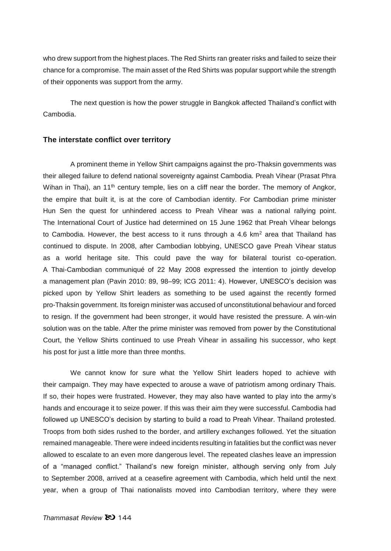who drew support from the highest places. The Red Shirts ran greater risks and failed to seize their chance for a compromise. The main asset of the Red Shirts was popular support while the strength of their opponents was support from the army.

The next question is how the power struggle in Bangkok affected Thailand's conflict with Cambodia.

#### **The interstate conflict over territory**

A prominent theme in Yellow Shirt campaigns against the pro-Thaksin governments was their alleged failure to defend national sovereignty against Cambodia. Preah Vihear (Prasat Phra Wihan in Thai), an 11<sup>th</sup> century temple, lies on a cliff near the border. The memory of Angkor, the empire that built it, is at the core of Cambodian identity. For Cambodian prime minister Hun Sen the quest for unhindered access to Preah Vihear was a national rallying point. The International Court of Justice had determined on 15 June 1962 that Preah Vihear belongs to Cambodia. However, the best access to it runs through a 4.6  $km<sup>2</sup>$  area that Thailand has continued to dispute. In 2008, after Cambodian lobbying, UNESCO gave Preah Vihear status as a world heritage site. This could pave the way for bilateral tourist co-operation. A Thai-Cambodian communiqué of 22 May 2008 expressed the intention to jointly develop a management plan (Pavin 2010: 89, 98–99; ICG 2011: 4). However, UNESCO's decision was picked upon by Yellow Shirt leaders as something to be used against the recently formed pro-Thaksin government. Its foreign minister was accused of unconstitutional behaviour and forced to resign. If the government had been stronger, it would have resisted the pressure. A win-win solution was on the table. After the prime minister was removed from power by the Constitutional Court, the Yellow Shirts continued to use Preah Vihear in assailing his successor, who kept his post for just a little more than three months.

We cannot know for sure what the Yellow Shirt leaders hoped to achieve with their campaign. They may have expected to arouse a wave of patriotism among ordinary Thais. If so, their hopes were frustrated. However, they may also have wanted to play into the army's hands and encourage it to seize power. If this was their aim they were successful. Cambodia had followed up UNESCO's decision by starting to build a road to Preah Vihear. Thailand protested. Troops from both sides rushed to the border, and artillery exchanges followed. Yet the situation remained manageable. There were indeed incidents resulting in fatalities but the conflict was never allowed to escalate to an even more dangerous level. The repeated clashes leave an impression of a "managed conflict." Thailand's new foreign minister, although serving only from July to September 2008, arrived at a ceasefire agreement with Cambodia, which held until the next year, when a group of Thai nationalists moved into Cambodian territory, where they were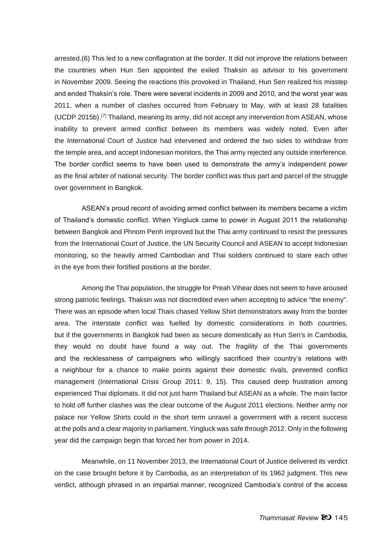arrested.(6) This led to a new conflagration at the border. It did not improve the relations between the countries when Hun Sen appointed the exiled Thaksin as advisor to his government in November 2009. Seeing the reactions this provoked in Thailand, Hun Sen realized his misstep and ended Thaksin's role. There were several incidents in 2009 and 2010, and the worst year was 2011, when a number of clashes occurred from February to May, with at least 28 fatalities  $(UCDP 2015b)$ .<sup>(7)</sup> Thailand, meaning its army, did not accept any intervention from ASEAN, whose inability to prevent armed conflict between its members was widely noted. Even after the International Court of Justice had intervened and ordered the two sides to withdraw from the temple area, and accept Indonesian monitors, the Thai army rejected any outside interference. The border conflict seems to have been used to demonstrate the army's independent power as the final arbiter of national security. The border conflict was thus part and parcel of the struggle over government in Bangkok.

ASEAN's proud record of avoiding armed conflict between its members became a victim of Thailand's domestic conflict. When Yingluck came to power in August 2011 the relationship between Bangkok and Phnom Penh improved but the Thai army continued to resist the pressures from the International Court of Justice, the UN Security Council and ASEAN to accept Indonesian monitoring, so the heavily armed Cambodian and Thai soldiers continued to stare each other in the eye from their fortified positions at the border.

Among the Thai population, the struggle for Preah Vihear does not seem to have aroused strong patriotic feelings. Thaksin was not discredited even when accepting to advice "the enemy". There was an episode when local Thais chased Yellow Shirt demonstrators away from the border area. The interstate conflict was fuelled by domestic considerations in both countries, but if the governments in Bangkok had been as secure domestically as Hun Sen's in Cambodia, they would no doubt have found a way out. The fragility of the Thai governments and the recklessness of campaigners who willingly sacrificed their country's relations with a neighbour for a chance to make points against their domestic rivals, prevented conflict management (International Crisis Group 2011: 9, 15). This caused deep frustration among experienced Thai diplomats. It did not just harm Thailand but ASEAN as a whole. The main factor to hold off further clashes was the clear outcome of the August 2011 elections. Neither army nor palace nor Yellow Shirts could in the short term unravel a government with a recent success at the polls and a clear majority in parliament. Yingluck was safe through 2012. Only in the following year did the campaign begin that forced her from power in 2014.

Meanwhile, on 11 November 2013, the International Court of Justice delivered its verdict on the case brought before it by Cambodia, as an interpretation of its 1962 judgment. This new verdict, although phrased in an impartial manner, recognized Cambodia's control of the access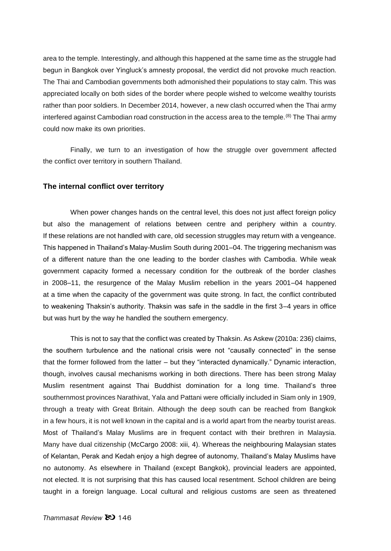area to the temple. Interestingly, and although this happened at the same time as the struggle had begun in Bangkok over Yingluck's amnesty proposal, the verdict did not provoke much reaction. The Thai and Cambodian governments both admonished their populations to stay calm. This was appreciated locally on both sides of the border where people wished to welcome wealthy tourists rather than poor soldiers. In December 2014, however, a new clash occurred when the Thai army interfered against Cambodian road construction in the access area to the temple.<sup>(8)</sup> The Thai army could now make its own priorities.

Finally, we turn to an investigation of how the struggle over government affected the conflict over territory in southern Thailand.

#### **The internal conflict over territory**

When power changes hands on the central level, this does not just affect foreign policy but also the management of relations between centre and periphery within a country. If these relations are not handled with care, old secession struggles may return with a vengeance. This happened in Thailand's Malay-Muslim South during 2001–04. The triggering mechanism was of a different nature than the one leading to the border clashes with Cambodia. While weak government capacity formed a necessary condition for the outbreak of the border clashes in 2008–11, the resurgence of the Malay Muslim rebellion in the years 2001–04 happened at a time when the capacity of the government was quite strong. In fact, the conflict contributed to weakening Thaksin's authority. Thaksin was safe in the saddle in the first 3–4 years in office but was hurt by the way he handled the southern emergency.

This is not to say that the conflict was created by Thaksin. As Askew (2010a: 236) claims, the southern turbulence and the national crisis were not "causally connected" in the sense that the former followed from the latter – but they "interacted dynamically." Dynamic interaction, though, involves causal mechanisms working in both directions. There has been strong Malay Muslim resentment against Thai Buddhist domination for a long time. Thailand's three southernmost provinces Narathivat, Yala and Pattani were officially included in Siam only in 1909, through a treaty with Great Britain. Although the deep south can be reached from Bangkok in a few hours, it is not well known in the capital and is a world apart from the nearby tourist areas. Most of Thailand's Malay Muslims are in frequent contact with their brethren in Malaysia. Many have dual citizenship (McCargo 2008: xiii, 4). Whereas the neighbouring Malaysian states of Kelantan, Perak and Kedah enjoy a high degree of autonomy, Thailand's Malay Muslims have no autonomy. As elsewhere in Thailand (except Bangkok), provincial leaders are appointed, not elected. It is not surprising that this has caused local resentment. School children are being taught in a foreign language. Local cultural and religious customs are seen as threatened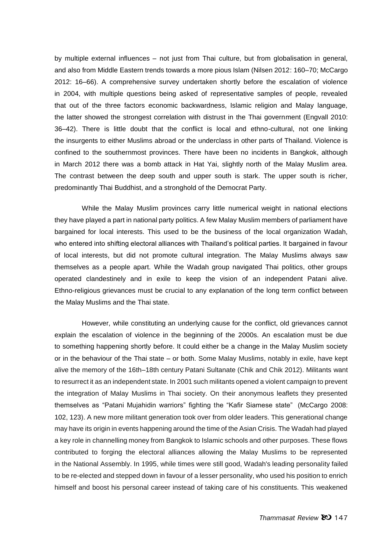by multiple external influences – not just from Thai culture, but from globalisation in general, and also from Middle Eastern trends towards a more pious Islam (Nilsen 2012: 160–70; McCargo 2012: 16–66). A comprehensive survey undertaken shortly before the escalation of violence in 2004, with multiple questions being asked of representative samples of people, revealed that out of the three factors economic backwardness, Islamic religion and Malay language, the latter showed the strongest correlation with distrust in the Thai government (Engvall 2010: 36–42). There is little doubt that the conflict is local and ethno-cultural, not one linking the insurgents to either Muslims abroad or the underclass in other parts of Thailand. Violence is confined to the southernmost provinces. There have been no incidents in Bangkok, although in March 2012 there was a bomb attack in Hat Yai, slightly north of the Malay Muslim area. The contrast between the deep south and upper south is stark. The upper south is richer, predominantly Thai Buddhist, and a stronghold of the Democrat Party.

While the Malay Muslim provinces carry little numerical weight in national elections they have played a part in national party politics. A few Malay Muslim members of parliament have bargained for local interests. This used to be the business of the local organization Wadah, who entered into shifting electoral alliances with Thailand's political parties. It bargained in favour of local interests, but did not promote cultural integration. The Malay Muslims always saw themselves as a people apart. While the Wadah group navigated Thai politics, other groups operated clandestinely and in exile to keep the vision of an independent Patani alive. Ethno-religious grievances must be crucial to any explanation of the long term conflict between the Malay Muslims and the Thai state.

However, while constituting an underlying cause for the conflict, old grievances cannot explain the escalation of violence in the beginning of the 2000s. An escalation must be due to something happening shortly before. It could either be a change in the Malay Muslim society or in the behaviour of the Thai state – or both. Some Malay Muslims, notably in exile, have kept alive the memory of the 16th–18th century Patani Sultanate (Chik and Chik 2012). Militants want to resurrect it as an independent state. In 2001 such militants opened a violent campaign to prevent the integration of Malay Muslims in Thai society. On their anonymous leaflets they presented themselves as "Patani Mujahidin warriors" fighting the "Kafir Siamese state" (McCargo 2008: 102, 123). A new more militant generation took over from older leaders. This generational change may have its origin in events happening around the time of the Asian Crisis. The Wadah had played a key role in channelling money from Bangkok to Islamic schools and other purposes. These flows contributed to forging the electoral alliances allowing the Malay Muslims to be represented in the National Assembly. In 1995, while times were still good, Wadah's leading personality failed to be re-elected and stepped down in favour of a lesser personality, who used his position to enrich himself and boost his personal career instead of taking care of his constituents. This weakened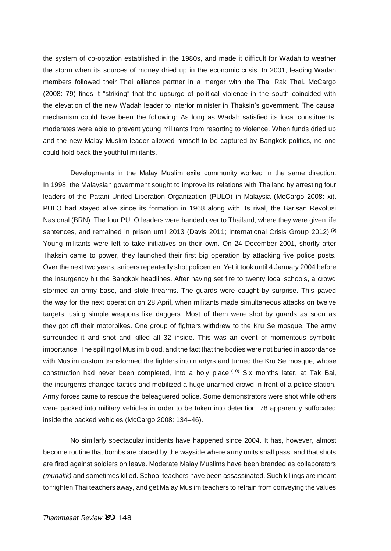the system of co-optation established in the 1980s, and made it difficult for Wadah to weather the storm when its sources of money dried up in the economic crisis. In 2001, leading Wadah members followed their Thai alliance partner in a merger with the Thai Rak Thai. McCargo (2008: 79) finds it "striking" that the upsurge of political violence in the south coincided with the elevation of the new Wadah leader to interior minister in Thaksin's government. The causal mechanism could have been the following: As long as Wadah satisfied its local constituents, moderates were able to prevent young militants from resorting to violence. When funds dried up and the new Malay Muslim leader allowed himself to be captured by Bangkok politics, no one could hold back the youthful militants.

Developments in the Malay Muslim exile community worked in the same direction. In 1998, the Malaysian government sought to improve its relations with Thailand by arresting four leaders of the Patani United Liberation Organization (PULO) in Malaysia (McCargo 2008: xi). PULO had stayed alive since its formation in 1968 along with its rival, the Barisan Revolusi Nasional (BRN). The four PULO leaders were handed over to Thailand, where they were given life sentences, and remained in prison until 2013 (Davis 2011; International Crisis Group 2012).<sup>(9)</sup> Young militants were left to take initiatives on their own. On 24 December 2001, shortly after Thaksin came to power, they launched their first big operation by attacking five police posts. Over the next two years, snipers repeatedly shot policemen. Yet it took until 4 January 2004 before the insurgency hit the Bangkok headlines. After having set fire to twenty local schools, a crowd stormed an army base, and stole firearms. The guards were caught by surprise. This paved the way for the next operation on 28 April, when militants made simultaneous attacks on twelve targets, using simple weapons like daggers. Most of them were shot by guards as soon as they got off their motorbikes. One group of fighters withdrew to the Kru Se mosque. The army surrounded it and shot and killed all 32 inside. This was an event of momentous symbolic importance. The spilling of Muslim blood, and the fact that the bodies were not buried in accordance with Muslim custom transformed the fighters into martyrs and turned the Kru Se mosque, whose construction had never been completed, into a holy place.<sup> $(10)$ </sup> Six months later, at Tak Bai, the insurgents changed tactics and mobilized a huge unarmed crowd in front of a police station. Army forces came to rescue the beleaguered police. Some demonstrators were shot while others were packed into military vehicles in order to be taken into detention. 78 apparently suffocated inside the packed vehicles (McCargo 2008: 134–46).

No similarly spectacular incidents have happened since 2004. It has, however, almost become routine that bombs are placed by the wayside where army units shall pass, and that shots are fired against soldiers on leave. Moderate Malay Muslims have been branded as collaborators *(munafik)* and sometimes killed. School teachers have been assassinated. Such killings are meant to frighten Thai teachers away, and get Malay Muslim teachers to refrain from conveying the values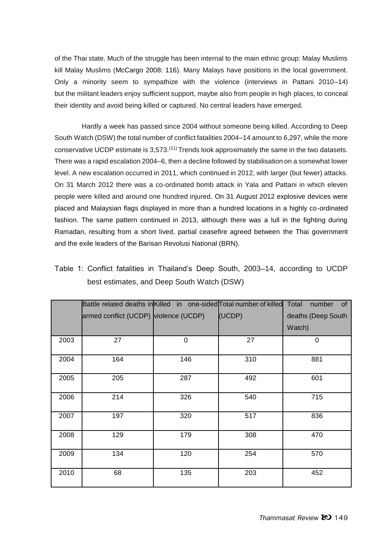of the Thai state. Much of the struggle has been internal to the main ethnic group: Malay Muslims kill Malay Muslims (McCargo 2008: 116). Many Malays have positions in the local government. Only a minority seem to sympathize with the violence (interviews in Pattani 2010–14) but the militant leaders enjoy sufficient support, maybe also from people in high places, to conceal their identity and avoid being killed or captured. No central leaders have emerged.

Hardly a week has passed since 2004 without someone being killed. According to Deep South Watch (DSW) the total number of conflict fatalities 2004–14 amount to 6,297, while the more conservative UCDP estimate is  $3.573$ .<sup> $(11)$ </sup> Trends look approximately the same in the two datasets. There was a rapid escalation 2004–6, then a decline followed by stabilisation on a somewhat lower level. A new escalation occurred in 2011, which continued in 2012, with larger (but fewer) attacks. On 31 March 2012 there was a co-ordinated bomb attack in Yala and Pattani in which eleven people were killed and around one hundred injured. On 31 August 2012 explosive devices were placed and Malaysian flags displayed in more than a hundred locations in a highly co-ordinated fashion. The same pattern continued in 2013, although there was a lull in the fighting during Ramadan, resulting from a short lived, partial ceasefire agreed between the Thai government and the exile leaders of the Barisan Revolusi National (BRN).

|      | Battle related deaths in Killed in one-sided Total number of killed |     |        | Total<br>number<br>of |
|------|---------------------------------------------------------------------|-----|--------|-----------------------|
|      | armed conflict (UCDP) violence (UCDP)                               |     | (UCDP) | deaths (Deep South    |
|      |                                                                     |     |        | Watch)                |
| 2003 | 27                                                                  | 0   | 27     | 0                     |
| 2004 | 164                                                                 | 146 | 310    | 881                   |
| 2005 | 205                                                                 | 287 | 492    | 601                   |
| 2006 | 214                                                                 | 326 | 540    | 715                   |
| 2007 | 197                                                                 | 320 | 517    | 836                   |
| 2008 | 129                                                                 | 179 | 308    | 470                   |
| 2009 | 134                                                                 | 120 | 254    | 570                   |
| 2010 | 68                                                                  | 135 | 203    | 452                   |

Table 1: Conflict fatalities in Thailand's Deep South, 2003–14, according to UCDP best estimates, and Deep South Watch (DSW)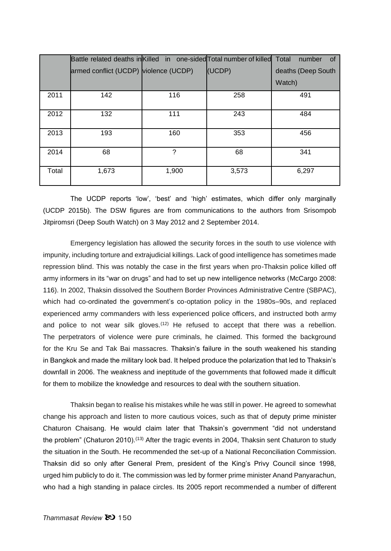|       | Battle related deaths in Killed in one-sided Total number of killed |       |        | Total<br>number<br>0f |
|-------|---------------------------------------------------------------------|-------|--------|-----------------------|
|       | armed conflict (UCDP) violence (UCDP)                               |       | (UCDP) | deaths (Deep South    |
|       |                                                                     |       |        | Watch)                |
| 2011  | 142                                                                 | 116   | 258    | 491                   |
| 2012  | 132                                                                 | 111   | 243    | 484                   |
| 2013  | 193                                                                 | 160   | 353    | 456                   |
| 2014  | 68                                                                  | ?     | 68     | 341                   |
| Total | 1,673                                                               | 1,900 | 3,573  | 6,297                 |

The UCDP reports 'low', 'best' and 'high' estimates, which differ only marginally (UCDP 2015b). The DSW figures are from communications to the authors from Srisompob Jitpiromsri (Deep South Watch) on 3 May 2012 and 2 September 2014.

Emergency legislation has allowed the security forces in the south to use violence with impunity, including torture and extrajudicial killings. Lack of good intelligence has sometimes made repression blind. This was notably the case in the first years when pro-Thaksin police killed off army informers in its "war on drugs" and had to set up new intelligence networks (McCargo 2008: 116). In 2002, Thaksin dissolved the Southern Border Provinces Administrative Centre (SBPAC), which had co-ordinated the government's co-optation policy in the 1980s–90s, and replaced experienced army commanders with less experienced police officers, and instructed both army and police to not wear silk gloves.<sup> $(12)$ </sup> He refused to accept that there was a rebellion. The perpetrators of violence were pure criminals, he claimed. This formed the background for the Kru Se and Tak Bai massacres. Thaksin's failure in the south weakened his standing in Bangkok and made the military look bad. It helped produce the polarization that led to Thaksin's downfall in 2006. The weakness and ineptitude of the governments that followed made it difficult for them to mobilize the knowledge and resources to deal with the southern situation.

Thaksin began to realise his mistakes while he was still in power. He agreed to somewhat change his approach and listen to more cautious voices, such as that of deputy prime minister Chaturon Chaisang. He would claim later that Thaksin's government "did not understand the problem" (Chaturon 2010).<sup>(13)</sup> After the tragic events in 2004, Thaksin sent Chaturon to study the situation in the South. He recommended the set-up of a National Reconciliation Commission. Thaksin did so only after General Prem, president of the King's Privy Council since 1998, urged him publicly to do it. The commission was led by former prime minister Anand Panyarachun, who had a high standing in palace circles. Its 2005 report recommended a number of different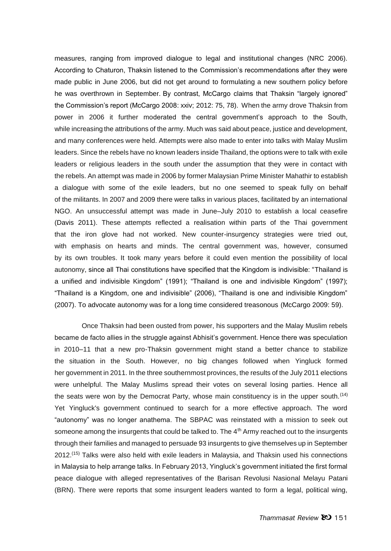measures, ranging from improved dialogue to legal and institutional changes (NRC 2006). According to Chaturon, Thaksin listened to the Commission's recommendations after they were made public in June 2006, but did not get around to formulating a new southern policy before he was overthrown in September. By contrast, McCargo claims that Thaksin "largely ignored" the Commission's report (McCargo 2008: xxiv; 2012: 75, 78). When the army drove Thaksin from power in 2006 it further moderated the central government's approach to the South, while increasing the attributions of the army. Much was said about peace, justice and development, and many conferences were held. Attempts were also made to enter into talks with Malay Muslim leaders. Since the rebels have no known leaders inside Thailand, the options were to talk with exile leaders or religious leaders in the south under the assumption that they were in contact with the rebels. An attempt was made in 2006 by former Malaysian Prime Minister Mahathir to establish a dialogue with some of the exile leaders, but no one seemed to speak fully on behalf of the militants. In 2007 and 2009 there were talks in various places, facilitated by an international NGO. An unsuccessful attempt was made in June–July 2010 to establish a local ceasefire (Davis 2011). These attempts reflected a realisation within parts of the Thai government that the iron glove had not worked. New counter-insurgency strategies were tried out, with emphasis on hearts and minds. The central government was, however, consumed by its own troubles. It took many years before it could even mention the possibility of local autonomy, since all Thai constitutions have specified that the Kingdom is indivisible: "Thailand is a unified and indivisible Kingdom" (1991); "Thailand is one and indivisible Kingdom" (1997); "Thailand is a Kingdom, one and indivisible" (2006), "Thailand is one and indivisible Kingdom" (2007). To advocate autonomy was for a long time considered treasonous (McCargo 2009: 59).

Once Thaksin had been ousted from power, his supporters and the Malay Muslim rebels became de facto allies in the struggle against Abhisit's government. Hence there was speculation in 2010–11 that a new pro-Thaksin government might stand a better chance to stabilize the situation in the South. However, no big changes followed when Yingluck formed her government in 2011. In the three southernmost provinces, the results of the July 2011 elections were unhelpful. The Malay Muslims spread their votes on several losing parties. Hence all the seats were won by the Democrat Party, whose main constituency is in the upper south.<sup> $(14)$ </sup> Yet Yingluck's government continued to search for a more effective approach. The word "autonomy" was no longer anathema. The SBPAC was reinstated with a mission to seek out someone among the insurgents that could be talked to. The  $4<sup>th</sup>$  Army reached out to the insurgents through their families and managed to persuade 93 insurgents to give themselves up in September 2012.(15) Talks were also held with exile leaders in Malaysia, and Thaksin used his connections in Malaysia to help arrange talks. In February 2013, Yingluck's government initiated the first formal peace dialogue with alleged representatives of the Barisan Revolusi Nasional Melayu Patani (BRN). There were reports that some insurgent leaders wanted to form a legal, political wing,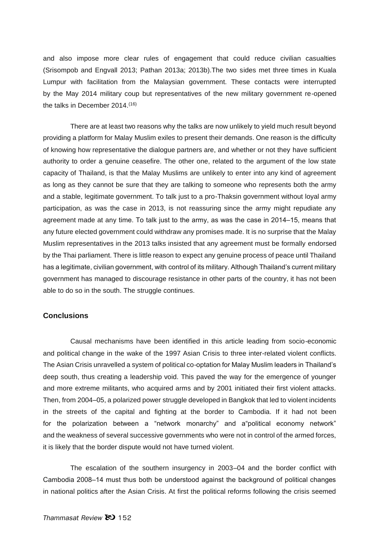and also impose more clear rules of engagement that could reduce civilian casualties (Srisompob and Engvall 2013; Pathan 2013a; 2013b).The two sides met three times in Kuala Lumpur with facilitation from the Malaysian government. These contacts were interrupted by the May 2014 military coup but representatives of the new military government re-opened the talks in December 2014.<sup>(16)</sup>

There are at least two reasons why the talks are now unlikely to yield much result beyond providing a platform for Malay Muslim exiles to present their demands. One reason is the difficulty of knowing how representative the dialogue partners are, and whether or not they have sufficient authority to order a genuine ceasefire. The other one, related to the argument of the low state capacity of Thailand, is that the Malay Muslims are unlikely to enter into any kind of agreement as long as they cannot be sure that they are talking to someone who represents both the army and a stable, legitimate government. To talk just to a pro-Thaksin government without loyal army participation, as was the case in 2013, is not reassuring since the army might repudiate any agreement made at any time. To talk just to the army, as was the case in 2014–15, means that any future elected government could withdraw any promises made. It is no surprise that the Malay Muslim representatives in the 2013 talks insisted that any agreement must be formally endorsed by the Thai parliament. There is little reason to expect any genuine process of peace until Thailand has a legitimate, civilian government, with control of its military. Although Thailand's current military government has managed to discourage resistance in other parts of the country, it has not been able to do so in the south. The struggle continues.

## **Conclusions**

Causal mechanisms have been identified in this article leading from socio-economic and political change in the wake of the 1997 Asian Crisis to three inter-related violent conflicts. The Asian Crisis unravelled a system of political co-optation for Malay Muslim leaders in Thailand's deep south, thus creating a leadership void. This paved the way for the emergence of younger and more extreme militants, who acquired arms and by 2001 initiated their first violent attacks. Then, from 2004–05, a polarized power struggle developed in Bangkok that led to violent incidents in the streets of the capital and fighting at the border to Cambodia. If it had not been for the polarization between a "network monarchy" and a"political economy network" and the weakness of several successive governments who were not in control of the armed forces, it is likely that the border dispute would not have turned violent.

The escalation of the southern insurgency in 2003–04 and the border conflict with Cambodia 2008–14 must thus both be understood against the background of political changes in national politics after the Asian Crisis. At first the political reforms following the crisis seemed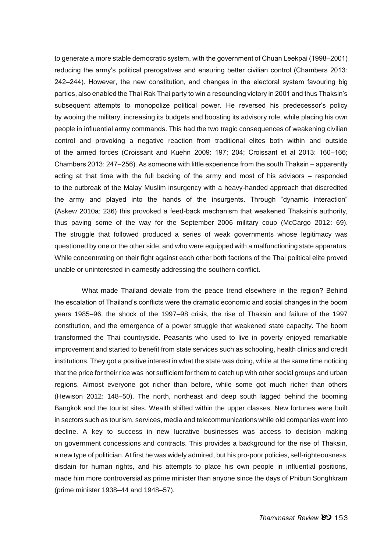to generate a more stable democratic system, with the government of Chuan Leekpai (1998–2001) reducing the army's political prerogatives and ensuring better civilian control (Chambers 2013: 242‒244). However, the new constitution, and changes in the electoral system favouring big parties, also enabled the Thai Rak Thai party to win a resounding victory in 2001 and thus Thaksin's subsequent attempts to monopolize political power. He reversed his predecessor's policy by wooing the military, increasing its budgets and boosting its advisory role, while placing his own people in influential army commands. This had the two tragic consequences of weakening civilian control and provoking a negative reaction from traditional elites both within and outside of the armed forces (Croissant and Kuehn 2009: 197; 204; Croissant et al 2013: 160–166; Chambers 2013: 247–256). As someone with little experience from the south Thaksin – apparently acting at that time with the full backing of the army and most of his advisors  $-$  responded to the outbreak of the Malay Muslim insurgency with a heavy-handed approach that discredited the army and played into the hands of the insurgents. Through "dynamic interaction" (Askew 2010a: 236) this provoked a feed-back mechanism that weakened Thaksin's authority, thus paving some of the way for the September 2006 military coup (McCargo 2012: 69). The struggle that followed produced a series of weak governments whose legitimacy was questioned by one or the other side, and who were equipped with a malfunctioning state apparatus. While concentrating on their fight against each other both factions of the Thai political elite proved unable or uninterested in earnestly addressing the southern conflict.

What made Thailand deviate from the peace trend elsewhere in the region? Behind the escalation of Thailand's conflicts were the dramatic economic and social changes in the boom years 1985–96, the shock of the 1997–98 crisis, the rise of Thaksin and failure of the 1997 constitution, and the emergence of a power struggle that weakened state capacity. The boom transformed the Thai countryside. Peasants who used to live in poverty enjoyed remarkable improvement and started to benefit from state services such as schooling, health clinics and credit institutions. They got a positive interest in what the state was doing, while at the same time noticing that the price for their rice was not sufficient for them to catch up with other social groups and urban regions. Almost everyone got richer than before, while some got much richer than others (Hewison 2012: 148–50). The north, northeast and deep south lagged behind the booming Bangkok and the tourist sites. Wealth shifted within the upper classes. New fortunes were built in sectors such as tourism, services, media and telecommunications while old companies went into decline. A key to success in new lucrative businesses was access to decision making on government concessions and contracts. This provides a background for the rise of Thaksin, a new type of politician. At first he was widely admired, but his pro-poor policies, self-righteousness, disdain for human rights, and his attempts to place his own people in influential positions, made him more controversial as prime minister than anyone since the days of Phibun Songhkram (prime minister 1938–44 and 1948–57).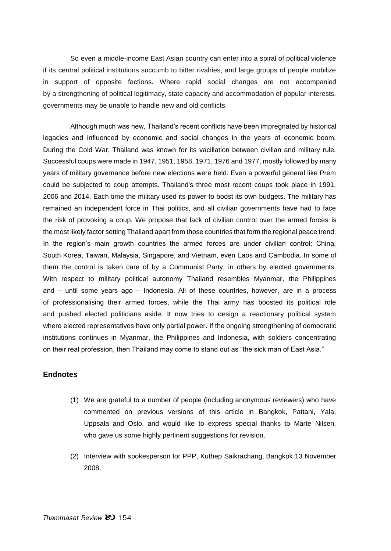So even a middle-income East Asian country can enter into a spiral of political violence if its central political institutions succumb to bitter rivalries, and large groups of people mobilize in support of opposite factions. Where rapid social changes are not accompanied by a strengthening of political legitimacy, state capacity and accommodation of popular interests, governments may be unable to handle new and old conflicts.

Although much was new, Thailand's recent conflicts have been impregnated by historical legacies and influenced by economic and social changes in the years of economic boom. During the Cold War, Thailand was known for its vacillation between civilian and military rule. Successful coups were made in 1947, 1951, 1958, 1971, 1976 and 1977, mostly followed by many years of military governance before new elections were held. Even a powerful general like Prem could be subjected to coup attempts. Thailand's three most recent coups took place in 1991, 2006 and 2014. Each time the military used its power to boost its own budgets. The military has remained an independent force in Thai politics, and all civilian governments have had to face the risk of provoking a coup. We propose that lack of civilian control over the armed forces is the most likely factor setting Thailand apart from those countries that form the regional peace trend. In the region's main growth countries the armed forces are under civilian control: China, South Korea, Taiwan, Malaysia, Singapore, and Vietnam, even Laos and Cambodia. In some of them the control is taken care of by a Communist Party, in others by elected governments. With respect to military political autonomy Thailand resembles Myanmar, the Philippines and  $-$  until some years ago  $-$  Indonesia. All of these countries, however, are in a process of professionalising their armed forces, while the Thai army has boosted its political role and pushed elected politicians aside. It now tries to design a reactionary political system where elected representatives have only partial power. If the ongoing strengthening of democratic institutions continues in Myanmar, the Philippines and Indonesia, with soldiers concentrating on their real profession, then Thailand may come to stand out as "the sick man of East Asia."

# **Endnotes**

- (1) We are grateful to a number of people (including anonymous reviewers) who have commented on previous versions of this article in Bangkok, Pattani, Yala, Uppsala and Oslo, and would like to express special thanks to Marte Nilsen, who gave us some highly pertinent suggestions for revision.
- (2) Interview with spokesperson for PPP, Kuthep Saikrachang, Bangkok 13 November 2008.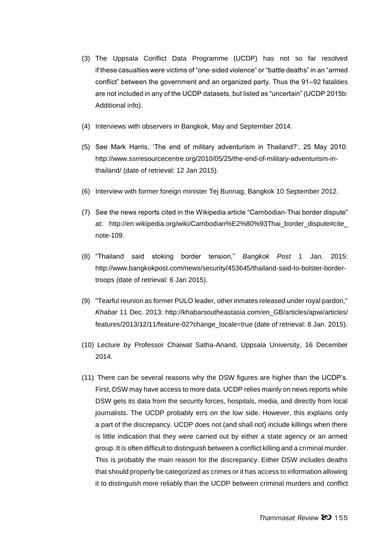- (3) The Uppsala Conflict Data Programme (UCDP) has not so far resolved if these casualties were victims of "one-sided violence" or "battle deaths" in an "armed conflict" between the government and an organized party. Thus the 91–92 fatalities are not included in any of the UCDP datasets, but listed as "uncertain" (UCDP 2015b: Additional info).
- (4) Interviews with observers in Bangkok, May and September 2014.
- (5) See Mark Harris, 'The end of military adventurism in Thailand?', 25 May 2010: http://www.ssrresourcecentre.org/2010/05/25/the-end-of-military-adventurism-inthailand/ (date of retrieval: 12 Jan 2015).
- (6) Interview with former foreign minister Tej Bunnag, Bangkok 10 September 2012.
- (7) See the news reports cited in the Wikipedia article "Cambodian-Thai border dispute" at: http://en.wikipedia.org/wiki/Cambodian%E2%80%93Thai\_border\_dispute#cite\_ note-109.
- (8) "Thailand said stoking border tension," *Bangkok Post* 1 Jan. 2015: http://www.bangkokpost.com/news/security/453645/thailand-said-to-bolster-bordertroops (date of retrieval: 6 Jan 2015).
- (9) "Tearful reunion as former PULO leader, other inmates released under royal pardon," *Khabar* 11 Dec. 2013: http://khabarsoutheastasia.com/en\_GB/articles/apwi/articles/ features/2013/12/11/feature-02?change\_locale=true (date of retrieval: 8 Jan. 2015).
- (10) Lecture by Professor Chaiwat Satha-Anand, Uppsala University, 16 December 2014.
- (11) There can be several reasons why the DSW figures are higher than the UCDP's. First, DSW may have access to more data. UCDP relies mainly on news reports while DSW gets its data from the security forces, hospitals, media, and directly from local journalists. The UCDP probably errs on the low side. However, this explains only a part of the discrepancy. UCDP does not (and shall not) include killings when there is little indication that they were carried out by either a state agency or an armed group. It is often difficult to distinguish between a conflict killing and a criminal murder. This is probably the main reason for the discrepancy. Either DSW includes deaths that should properly be categorized as crimes or it has access to information allowing it to distinguish more reliably than the UCDP between criminal murders and conflict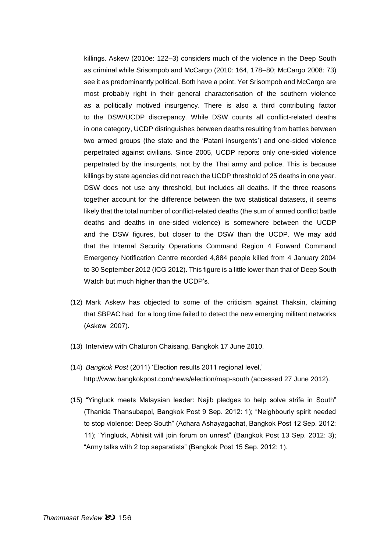killings. Askew (2010e: 122–3) considers much of the violence in the Deep South as criminal while Srisompob and McCargo (2010: 164, 178–80; McCargo 2008: 73) see it as predominantly political. Both have a point. Yet Srisompob and McCargo are most probably right in their general characterisation of the southern violence as a politically motived insurgency. There is also a third contributing factor to the DSW/UCDP discrepancy. While DSW counts all conflict-related deaths in one category, UCDP distinguishes between deaths resulting from battles between two armed groups (the state and the 'Patani insurgents') and one-sided violence perpetrated against civilians. Since 2005, UCDP reports only one-sided violence perpetrated by the insurgents, not by the Thai army and police. This is because killings by state agencies did not reach the UCDP threshold of 25 deaths in one year. DSW does not use any threshold, but includes all deaths. If the three reasons together account for the difference between the two statistical datasets, it seems likely that the total number of conflict-related deaths (the sum of armed conflict battle deaths and deaths in one-sided violence) is somewhere between the UCDP and the DSW figures, but closer to the DSW than the UCDP. We may add that the Internal Security Operations Command Region 4 Forward Command Emergency Notification Centre recorded 4,884 people killed from 4 January 2004 to 30 September 2012 (ICG 2012). This figure is a little lower than that of Deep South Watch but much higher than the UCDP's.

- (12) Mark Askew has objected to some of the criticism against Thaksin, claiming that SBPAC had for a long time failed to detect the new emerging militant networks (Askew 2007).
- (13) Interview with Chaturon Chaisang, Bangkok 17 June 2010.
- (14) *Bangkok Post* (2011) 'Election results 2011 regional level,' http://www.bangkokpost.com/news/election/map-south (accessed 27 June 2012).
- (15) "Yingluck meets Malaysian leader: Najib pledges to help solve strife in South" (Thanida Thansubapol, Bangkok Post 9 Sep. 2012: 1); "Neighbourly spirit needed to stop violence: Deep South" (Achara Ashayagachat, Bangkok Post 12 Sep. 2012: 11); "Yingluck, Abhisit will join forum on unrest" (Bangkok Post 13 Sep. 2012: 3); "Army talks with 2 top separatists" (Bangkok Post 15 Sep. 2012: 1).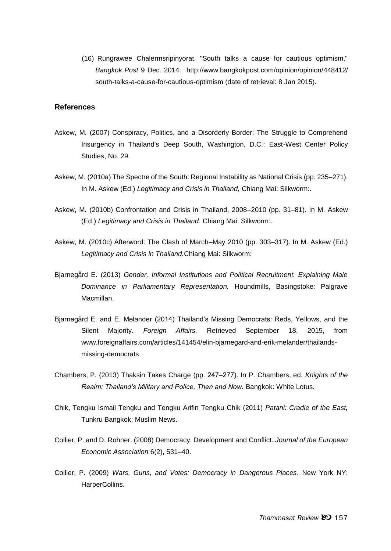(16) Rungrawee Chalermsripinyorat, "South talks a cause for cautious optimism," *Bangkok Post* 9 Dec. 2014: http://www.bangkokpost.com/opinion/opinion/448412/ south-talks-a-cause-for-cautious-optimism (date of retrieval: 8 Jan 2015).

#### **References**

- Askew, M. (2007) Conspiracy, Politics, and a Disorderly Border: The Struggle to Comprehend Insurgency in Thailand's Deep South, Washington, D.C.: East-West Center Policy Studies, No. 29.
- Askew, M. (2010a) The Spectre of the South: Regional Instability as National Crisis (pp. 235–271). In M. Askew (Ed.) *Legitimacy and Crisis in Thailand,* Chiang Mai: Silkworm:.
- Askew, M. (2010b) Confrontation and Crisis in Thailand, 2008–2010 (pp. 31–81). In M. Askew (Ed.) *Legitimacy and Crisis in Thailand.* Chiang Mai: Silkworm:.
- Askew, M. (2010c) Afterword: The Clash of March–May 2010 (pp. 303–317). In M. Askew (Ed.) *Legitimacy and Crisis in Thailand.*Chiang Mai: Silkworm:
- Bjarnegård E. (2013) *Gender, Informal Institutions and Political Recruitment. Explaining Male Dominance in Parliamentary Representation.* Houndmills, Basingstoke: Palgrave Macmillan.
- Bjarnegård E. and E. Melander (2014) Thailand's Missing Democrats: Reds, Yellows, and the Silent Majority. *Foreign Affairs.* Retrieved September 18, 2015, from www.foreignaffairs.com/articles/141454/elin-bjarnegard-and-erik-melander/thailandsmissing-democrats
- Chambers, P. (2013) Thaksin Takes Charge (pp. 247‒277). In P. Chambers, ed. *Knights of the Realm: Thailand's Military and Police, Then and Now.* Bangkok: White Lotus.
- Chik, Tengku Ismail Tengku and Tengku Arifin Tengku Chik (2011) *Patani: Cradle of the East,* Tunkru Bangkok: Muslim News.
- Collier, P. and D. Rohner. (2008) Democracy, Development and Conflict. *Journal of the European Economic Association* 6(2), 531–40.
- Collier, P. (2009) *Wars, Guns, and Votes: Democracy in Dangerous Places*. New York NY: HarperCollins.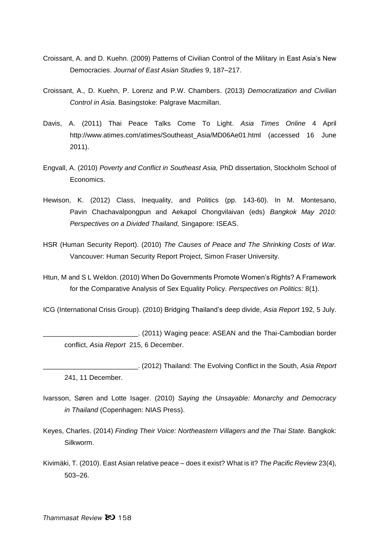- Croissant, A. and D. Kuehn. (2009) Patterns of Civilian Control of the Military in East Asia's New Democracies. *Journal of East Asian Studies* 9, 187–217.
- Croissant, A., D. Kuehn, P. Lorenz and P.W. Chambers. (2013) *Democratization and Civilian Control in Asia.* Basingstoke: Palgrave Macmillan.
- Davis, A. (2011) Thai Peace Talks Come To Light. *Asia Times Online* 4 April [http://www.atimes.com/atimes/Southeast\\_Asia/MD06Ae01.html](http://www.atimes.com/atimes/Southeast_Asia/MD06Ae01.html) (accessed 16 June 2011).
- Engvall, A. (2010) *Poverty and Conflict in Southeast Asia,* PhD dissertation, Stockholm School of Economics.
- Hewison, K. (2012) Class, Inequality, and Politics (pp. 143-60). In M. Montesano, Pavin Chachavalpongpun and Aekapol Chongvilaivan (eds) *Bangkok May 2010: Perspectives on a Divided Thailand,* Singapore: ISEAS.
- HSR (Human Security Report). (2010) *The Causes of Peace and The Shrinking Costs of War.* Vancouver: Human Security Report Project, Simon Fraser University.
- Htun, M and S L Weldon. (2010) When Do Governments Promote Women's Rights? A Framework for the Comparative Analysis of Sex Equality Policy*. Perspectives on Politics:* 8(1).

ICG (International Crisis Group). (2010) Bridging Thailand's deep divide, *Asia Report* 192, 5 July.

\_\_\_\_\_\_\_\_\_\_\_\_\_\_\_\_\_\_\_\_\_\_\_\_\_. (2011) Waging peace: ASEAN and the Thai-Cambodian border conflict, *Asia Report* 215, 6 December.

- \_\_\_\_\_\_\_\_\_\_\_\_\_\_\_\_\_\_\_\_\_\_\_\_\_. (2012) Thailand: The Evolving Conflict in the South, *Asia Report* 241, 11 December.
- Ivarsson, Søren and Lotte Isager. (2010) *Saying the Unsayable: Monarchy and Democracy in Thailand* (Copenhagen: NIAS Press).
- Keyes, Charles. (2014) *Finding Their Voice: Northeastern Villagers and the Thai State.* Bangkok: Silkworm.
- Kivimäki, T. (2010). East Asian relative peace does it exist? What is it? *The Pacific Review* 23(4), 503–26.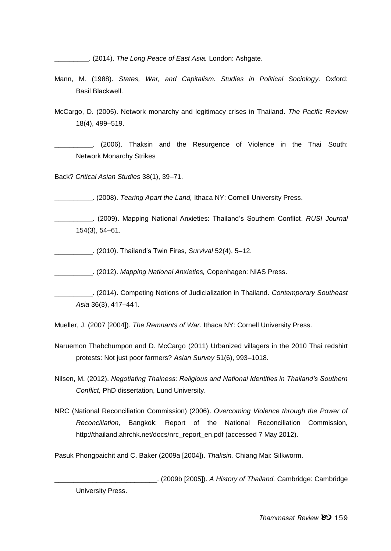\_\_\_\_\_\_\_\_\_. (2014). *The Long Peace of East Asia.* London: Ashgate.

- Mann, M. (1988). *States, War, and Capitalism. Studies in Political Sociology.* Oxford: Basil Blackwell.
- McCargo, D. (2005). Network monarchy and legitimacy crises in Thailand. *The Pacific Review* 18(4), 499–519.

\_\_\_\_\_\_\_\_\_\_. (2006). Thaksin and the Resurgence of Violence in the Thai South: Network Monarchy Strikes

Back? *Critical Asian Studies* 38(1), 39–71.

\_\_\_\_\_\_\_\_\_\_. (2008). *Tearing Apart the Land,* Ithaca NY: Cornell University Press.

\_\_\_\_\_\_\_\_\_\_. (2009). Mapping National Anxieties: Thailand's Southern Conflict. *RUSI Journal* 154(3), 54–61.

\_\_\_\_\_\_\_\_\_\_. (2010). Thailand's Twin Fires, *Survival* 52(4), 5–12.

\_\_\_\_\_\_\_\_\_\_. (2012). *Mapping National Anxieties,* Copenhagen: NIAS Press.

Mueller, J. (2007 [2004]). *The Remnants of War.* Ithaca NY: Cornell University Press.

- Naruemon Thabchumpon and D. McCargo (2011) Urbanized villagers in the 2010 Thai redshirt protests: Not just poor farmers? *Asian Survey* 51(6), 993–1018.
- Nilsen, M. (2012). *Negotiating Thainess: Religious and National Identities in Thailand's Southern Conflict,* PhD dissertation, Lund University.
- NRC (National Reconciliation Commission) (2006). *Overcoming Violence through the Power of Reconciliation,* Bangkok: Report of the National Reconciliation Commission, http://thailand.ahrchk.net/docs/nrc\_report\_en.pdf (accessed 7 May 2012).

Pasuk Phongpaichit and C. Baker (2009a [2004]). *Thaksin.* Chiang Mai: Silkworm.

\_\_\_\_\_\_\_\_\_\_\_\_\_\_\_\_\_\_\_\_\_\_\_\_\_\_\_. (2009b [2005]). *A History of Thailand.* Cambridge: Cambridge University Press.

\_\_\_\_\_\_\_\_\_\_. (2014). Competing Notions of Judicialization in Thailand. *Contemporary Southeast Asia* 36(3), 417‒441.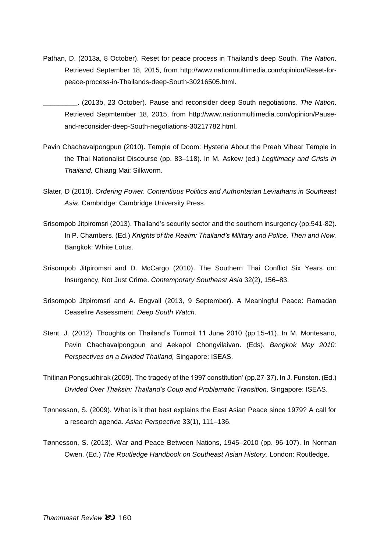- Pathan, D. (2013a, 8 October). Reset for peace process in Thailand's deep South. *The Nation*. Retrieved September 18, 2015, from http://www.nationmultimedia.com/opinion/Reset-forpeace-process-in-Thailands-deep-South-30216505.html.
	- \_\_\_\_\_\_\_\_\_. (2013b, 23 October). Pause and reconsider deep South negotiations. *The Nation*. Retrieved Sepmtember 18, 2015, from http://www.nationmultimedia.com/opinion/Pauseand-reconsider-deep-South-negotiations-30217782.html.
- Pavin Chachavalpongpun (2010). Temple of Doom: Hysteria About the Preah Vihear Temple in the Thai Nationalist Discourse (pp. 83–118). In M. Askew (ed.) *Legitimacy and Crisis in Thailand,* Chiang Mai: Silkworm.
- Slater, D (2010). *Ordering Power. Contentious Politics and Authoritarian Leviathans in Southeast Asia.* Cambridge: Cambridge University Press.
- Srisompob Jitpiromsri (2013). Thailand's security sector and the southern insurgency (pp.541-82). In P. Chambers. (Ed.) *Knights of the Realm: Thailand's Military and Police, Then and Now,*  Bangkok: White Lotus.
- Srisompob Jitpiromsri and D. McCargo (2010). The Southern Thai Conflict Six Years on: Insurgency, Not Just Crime. *Contemporary Southeast Asia* 32(2), 156–83.
- Srisompob Jitpiromsri and A. Engvall (2013, 9 September). A Meaningful Peace: Ramadan Ceasefire Assessment. *Deep South Watch*.
- Stent, J. (2012). Thoughts on Thailand's Turmoil 11 June 2010 (pp.15-41). In M. Montesano, Pavin Chachavalpongpun and Aekapol Chongvilaivan. (Eds). *Bangkok May 2010: Perspectives on a Divided Thailand,* Singapore: ISEAS.
- Thitinan Pongsudhirak (2009). The tragedy of the 1997 constitution' (pp.27-37). In J. Funston. (Ed.) *Divided Over Thaksin: Thailand's Coup and Problematic Transition,* Singapore: ISEAS.
- Tønnesson, S. (2009). What is it that best explains the East Asian Peace since 1979? A call for a research agenda. *Asian Perspective* 33(1), 111–136.
- Tønnesson, S. (2013). War and Peace Between Nations, 1945–2010 (pp. 96-107). In Norman Owen. (Ed.) *The Routledge Handbook on Southeast Asian History,* London: Routledge.